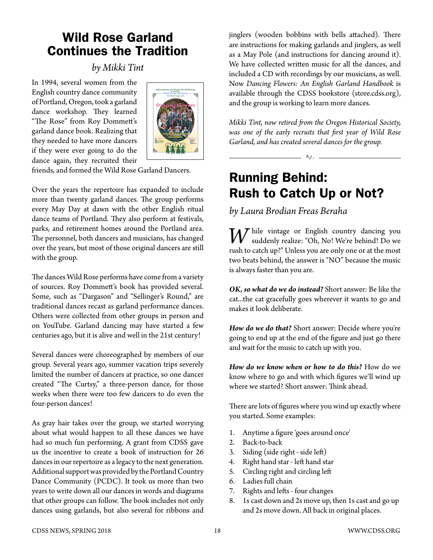## Wild Rose Garland Continues the Tradition

## *by Mikki Tint*

In 1994, several women from the English country dance community of Portland, Oregon, took a garland dance workshop. They learned "The Rose" from Roy Dommett's garland dance book. Realizing that they needed to have more dancers if they were ever going to do the dance again, they recruited their



friends, and formed the Wild Rose Garland Dancers.

Over the years the repertoire has expanded to include more than twenty garland dances. The group performs every May Day at dawn with the other English ritual dance teams of Portland. They also perform at festivals, parks, and retirement homes around the Portland area. The personnel, both dancers and musicians, has changed over the years, but most of those original dancers are still with the group.

The dances Wild Rose performs have come from a variety of sources. Roy Dommett's book has provided several. Some, such as "Dargason" and "Sellinger's Round," are traditional dances recast as garland performance dances. Others were collected from other groups in person and on YouTube. Garland dancing may have started a few centuries ago, but it is alive and well in the 21st century!

Several dances were choreographed by members of our group. Several years ago, summer vacation trips severely limited the number of dancers at practice, so one dancer created "The Curtsy," a three-person dance, for those weeks when there were too few dancers to do even the four-person dances!

As gray hair takes over the group, we started worrying about what would happen to all these dances we have had so much fun performing. A grant from CDSS gave us the incentive to create a book of instruction for 26 dances in our repertoire as a legacy to the next generation. Additional support was provided by the Portland Country Dance Community (PCDC). It took us more than two years to write down all our dances in words and diagrams that other groups can follow. The book includes not only dances using garlands, but also several for ribbons and jinglers (wooden bobbins with bells attached). There are instructions for making garlands and jinglers, as well as a May Pole (and instructions for dancing around it). We have collected written music for all the dances, and included a CD with recordings by our musicians, as well. Now *Dancing Flowers: An English Garland Handbook* is available through the CDSS bookstore (store.cdss.org), and the group is working to learn more dances.

*Mikki Tint, now retired from the Oregon Historical Society, was one of the early recruits that first year of Wild Rose Garland, and has created several dances for the group.*

## Running Behind: Rush to Catch Up or Not?

 $\frac{1}{\sqrt{6}}$ 

## *by Laura Brodian Freas Beraha*

*W* hile vintage or English country dancing you suddenly realize: "Oh, No! We're behind! Do we rush to catch up?" Unless you are only one or at the most two beats behind, the answer is "NO" because the music is always faster than you are.

*OK, so what do we do instead?* Short answer: Be like the cat...the cat gracefully goes wherever it wants to go and makes it look deliberate.

*How do we do that?* Short answer: Decide where you're going to end up at the end of the figure and just go there and wait for the music to catch up with you.

*How do we know when or how to do this?* How do we know where to go and with which figures we'll wind up where we started? Short answer: Think ahead.

There are lots of figures where you wind up exactly where you started. Some examples:

- 1. Anytime a figure 'goes around once'
- 2. Back-to-back
- 3. Siding (side right side left)
- 4. Right hand star left hand star
- 5. Circling right and circling left
- 6. Ladies full chain
- 7. Rights and lefts four changes
- 8. 1s cast down and 2s move up, then 1s cast and go up and 2s move down. All back in original places.